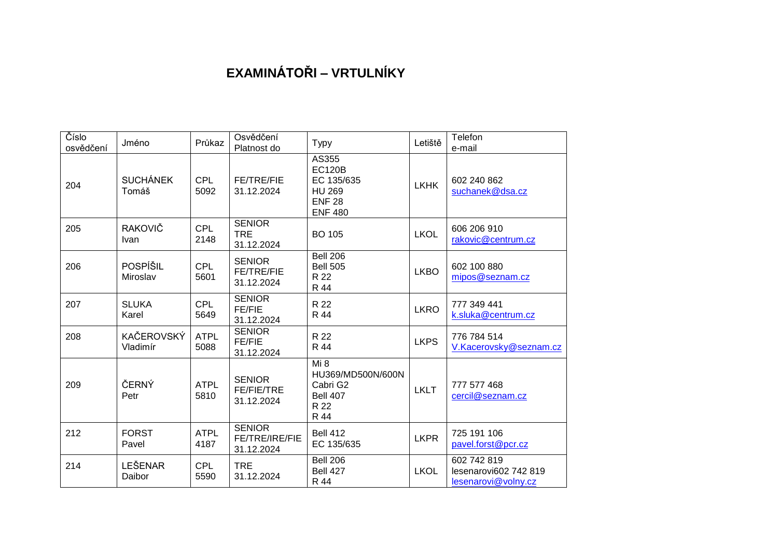## **EXAMINÁTOŘI – VRTULNÍKY**

| Číslo<br>osvědčení | Jméno                         | Průkaz              | Osvědčení<br>Platnost do                         | <b>Typy</b>                                                                              | Letiště     | Telefon<br>e-mail                                           |
|--------------------|-------------------------------|---------------------|--------------------------------------------------|------------------------------------------------------------------------------------------|-------------|-------------------------------------------------------------|
| 204                | <b>SUCHÁNEK</b><br>Tomáš      | <b>CPL</b><br>5092  | <b>FE/TRE/FIE</b><br>31.12.2024                  | AS355<br><b>EC120B</b><br>EC 135/635<br><b>HU 269</b><br><b>ENF 28</b><br><b>ENF 480</b> | <b>LKHK</b> | 602 240 862<br>suchanek@dsa.cz                              |
| 205                | <b>RAKOVIČ</b><br><b>Ivan</b> | <b>CPL</b><br>2148  | <b>SENIOR</b><br><b>TRE</b><br>31.12.2024        | <b>BO 105</b>                                                                            | <b>LKOL</b> | 606 206 910<br>rakovic@centrum.cz                           |
| 206                | POSPÍŠIL<br>Miroslav          | <b>CPL</b><br>5601  | <b>SENIOR</b><br><b>FE/TRE/FIE</b><br>31.12.2024 | <b>Bell 206</b><br><b>Bell 505</b><br>R 22<br>R 44                                       | <b>LKBO</b> | 602 100 880<br>mipos@seznam.cz                              |
| 207                | <b>SLUKA</b><br>Karel         | <b>CPL</b><br>5649  | <b>SENIOR</b><br><b>FE/FIE</b><br>31.12.2024     | R 22<br>R 44                                                                             | <b>LKRO</b> | 777 349 441<br>k.sluka@centrum.cz                           |
| 208                | <b>KAČEROVSKÝ</b><br>Vladimír | <b>ATPL</b><br>5088 | <b>SENIOR</b><br>FE/FIE<br>31.12.2024            | R 22<br>R 44                                                                             | <b>LKPS</b> | 776 784 514<br>V.Kacerovsky@seznam.cz                       |
| 209                | ČERNÝ<br>Petr                 | <b>ATPL</b><br>5810 | <b>SENIOR</b><br><b>FE/FIE/TRE</b><br>31.12.2024 | Mi 8<br>HU369/MD500N/600N<br>Cabri G2<br><b>Bell 407</b><br>R 22<br>R 44                 | <b>LKLT</b> | 777 577 468<br>cercil@seznam.cz                             |
| 212                | <b>FORST</b><br>Pavel         | <b>ATPL</b><br>4187 | <b>SENIOR</b><br>FE/TRE/IRE/FIE<br>31.12.2024    | <b>Bell 412</b><br>EC 135/635                                                            | <b>LKPR</b> | 725 191 106<br>pavel.forst@pcr.cz                           |
| 214                | LEŠENAR<br>Daibor             | <b>CPL</b><br>5590  | <b>TRE</b><br>31.12.2024                         | <b>Bell 206</b><br>Bell 427<br>R 44                                                      | <b>LKOL</b> | 602 742 819<br>lesenarovi602 742 819<br>lesenarovi@volny.cz |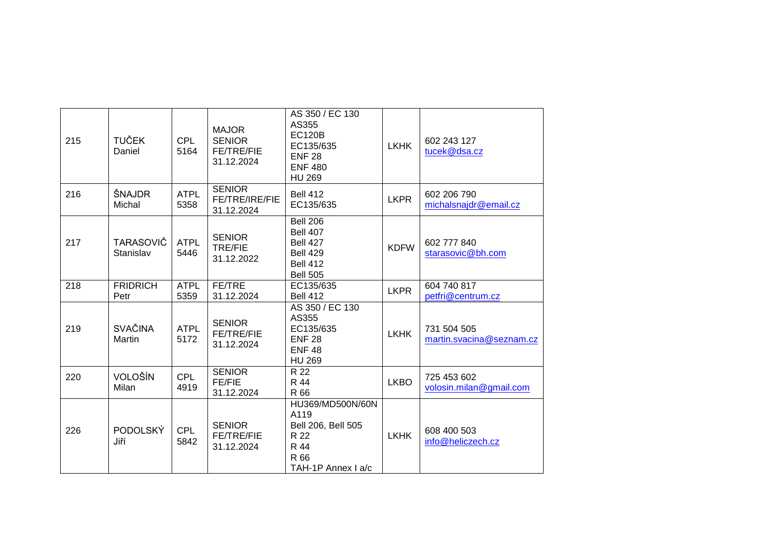| 215 | <b>TUČEK</b><br>Daniel        | <b>CPL</b><br>5164  | <b>MAJOR</b><br><b>SENIOR</b><br>FE/TRE/FIE<br>31.12.2024 | AS 350 / EC 130<br>AS355<br><b>EC120B</b><br>EC135/635<br><b>ENF 28</b><br><b>ENF 480</b><br><b>HU 269</b> | <b>LKHK</b> | 602 243 127<br>tucek@dsa.cz             |
|-----|-------------------------------|---------------------|-----------------------------------------------------------|------------------------------------------------------------------------------------------------------------|-------------|-----------------------------------------|
| 216 | ŠNAJDR<br>Michal              | <b>ATPL</b><br>5358 | <b>SENIOR</b><br>FE/TRE/IRE/FIE<br>31.12.2024             | <b>Bell 412</b><br>EC135/635                                                                               | <b>LKPR</b> | 602 206 790<br>michalsnajdr@email.cz    |
| 217 | <b>TARASOVIČ</b><br>Stanislav | <b>ATPL</b><br>5446 | <b>SENIOR</b><br><b>TRE/FIE</b><br>31.12.2022             | <b>Bell 206</b><br><b>Bell 407</b><br>Bell 427<br><b>Bell 429</b><br><b>Bell 412</b><br><b>Bell 505</b>    | <b>KDFW</b> | 602 777 840<br>starasovic@bh.com        |
| 218 | <b>FRIDRICH</b><br>Petr       | <b>ATPL</b><br>5359 | FE/TRE<br>31.12.2024                                      | EC135/635<br><b>Bell 412</b>                                                                               | <b>LKPR</b> | 604 740 817<br>petfri@centrum.cz        |
| 219 | <b>SVAČINA</b><br>Martin      | <b>ATPL</b><br>5172 | <b>SENIOR</b><br>FE/TRE/FIE<br>31.12.2024                 | AS 350 / EC 130<br>AS355<br>EC135/635<br><b>ENF 28</b><br><b>ENF48</b><br><b>HU 269</b>                    | <b>LKHK</b> | 731 504 505<br>martin.svacina@seznam.cz |
| 220 | VOLOŠÍN<br>Milan              | <b>CPL</b><br>4919  | <b>SENIOR</b><br>FE/FIE<br>31.12.2024                     | R 22<br>R 44<br>R 66                                                                                       | <b>LKBO</b> | 725 453 602<br>volosin.milan@gmail.com  |
| 226 | <b>PODOLSKÝ</b><br>Jiří       | <b>CPL</b><br>5842  | <b>SENIOR</b><br>FE/TRE/FIE<br>31.12.2024                 | HU369/MD500N/60N<br>A119<br>Bell 206, Bell 505<br>R 22<br>R 44<br>R 66<br>TAH-1P Annex I a/c               | <b>LKHK</b> | 608 400 503<br>info@heliczech.cz        |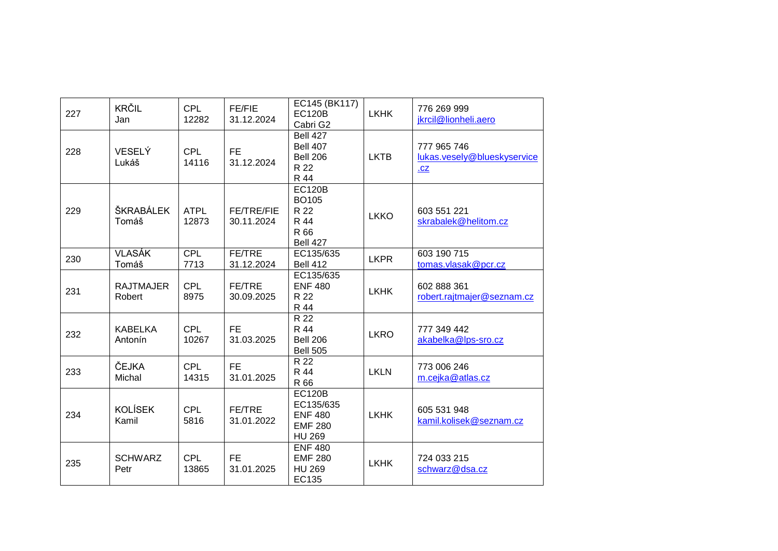| 227 | KRČIL<br>Jan               | <b>CPL</b><br>12282  | <b>FE/FIE</b><br>31.12.2024     | EC145 (BK117)<br><b>EC120B</b><br>Cabri G2                                      | LKHK        | 776 269 999<br>jkrcil@lionheli.aero               |
|-----|----------------------------|----------------------|---------------------------------|---------------------------------------------------------------------------------|-------------|---------------------------------------------------|
| 228 | <b>VESELÝ</b><br>Lukáš     | <b>CPL</b><br>14116  | FE.<br>31.12.2024               | <b>Bell 427</b><br><b>Bell 407</b><br><b>Bell 206</b><br>R 22<br>R 44           | <b>LKTB</b> | 777 965 746<br>lukas.vesely@blueskyservice<br>.CZ |
| 229 | ŠKRABÁLEK<br>Tomáš         | <b>ATPL</b><br>12873 | <b>FE/TRE/FIE</b><br>30.11.2024 | <b>EC120B</b><br><b>BO105</b><br>R 22<br>R 44<br>R 66<br><b>Bell 427</b>        | <b>LKKO</b> | 603 551 221<br>skrabalek@helitom.cz               |
| 230 | <b>VLASÁK</b><br>Tomáš     | <b>CPL</b><br>7713   | FE/TRE<br>31.12.2024            | EC135/635<br><b>Bell 412</b>                                                    | <b>LKPR</b> | 603 190 715<br>tomas.vlasak@pcr.cz                |
| 231 | <b>RAJTMAJER</b><br>Robert | <b>CPL</b><br>8975   | FE/TRE<br>30.09.2025            | EC135/635<br><b>ENF 480</b><br>R 22<br>R 44                                     | <b>LKHK</b> | 602 888 361<br>robert.rajtmajer@seznam.cz         |
| 232 | <b>KABELKA</b><br>Antonín  | <b>CPL</b><br>10267  | <b>FE</b><br>31.03.2025         | R 22<br>R 44<br><b>Bell 206</b><br><b>Bell 505</b>                              | <b>LKRO</b> | 777 349 442<br>akabelka@lps-sro.cz                |
| 233 | ČEJKA<br>Michal            | <b>CPL</b><br>14315  | <b>FE</b><br>31.01.2025         | R 22<br>R 44<br>R 66                                                            | <b>LKLN</b> | 773 006 246<br>m.cejka@atlas.cz                   |
| 234 | <b>KOLÍSEK</b><br>Kamil    | <b>CPL</b><br>5816   | FE/TRE<br>31.01.2022            | <b>EC120B</b><br>EC135/635<br><b>ENF 480</b><br><b>EMF 280</b><br><b>HU 269</b> | <b>LKHK</b> | 605 531 948<br>kamil.kolisek@seznam.cz            |
| 235 | <b>SCHWARZ</b><br>Petr     | <b>CPL</b><br>13865  | <b>FE</b><br>31.01.2025         | <b>ENF 480</b><br><b>EMF 280</b><br><b>HU 269</b><br>EC135                      | <b>LKHK</b> | 724 033 215<br>schwarz@dsa.cz                     |